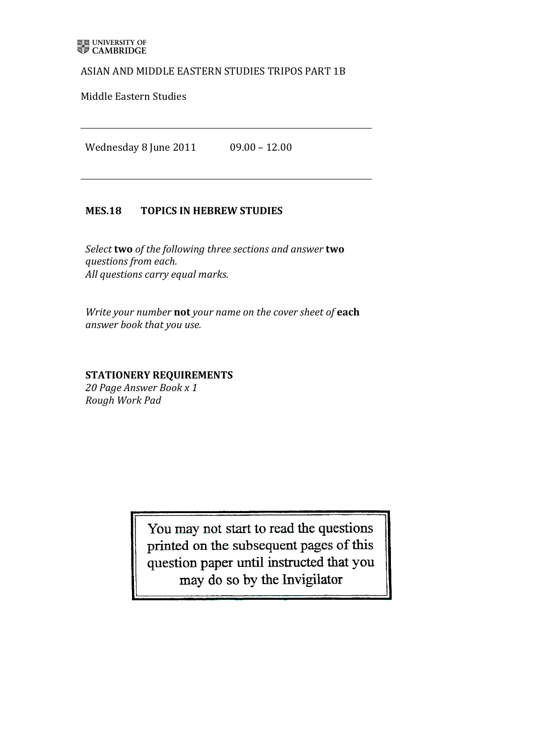### ASIAN AND MIDDLE EASTERN STUDIES TRIPOS PART 1B

Middle Eastern Studies

Wednesday 8 June 2011 09.00 - 12.00

## MES.18 TOPICS IN HEBREW STUDIES

*Select* **two** *of the following three sections and answer* **two** *questions!from!each.* All questions carry equal marks.

*Write your number* not *your name on the cover sheet of* each *answer!book that!you!use.*

**STATIONERY'REQUIREMENTS**

20 Page Answer Book x 1 *Rough!Work!Pad*

> You may not start to read the questions printed on the subsequent pages of this question paper until instructed that you may do so by the Invigilator